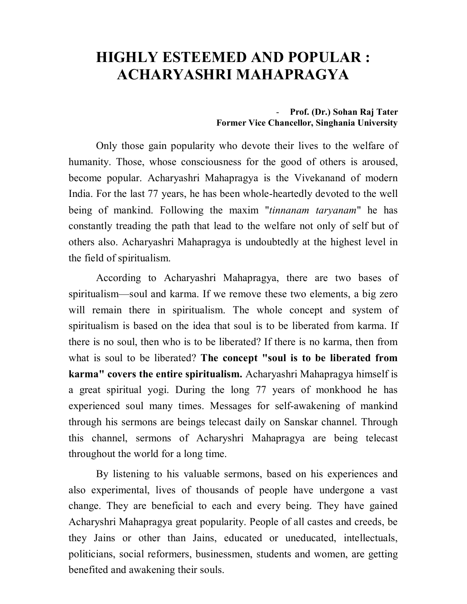## **HIGHLY ESTEEMED AND POPULAR : ACHARYASHRI MAHAPRAGYA**

- **Prof. (Dr.) Sohan Raj Tater Former Vice Chancellor, Singhania University**

Only those gain popularity who devote their lives to the welfare of humanity. Those, whose consciousness for the good of others is aroused, become popular. Acharyashri Mahapragya is the Vivekanand of modern India. For the last 77 years, he has been whole-heartedly devoted to the well being of mankind. Following the maxim "*tinnanam taryanam*" he has constantly treading the path that lead to the welfare not only of self but of others also. Acharyashri Mahapragya is undoubtedly at the highest level in the field of spiritualism.

According to Acharyashri Mahapragya, there are two bases of spiritualism—soul and karma. If we remove these two elements, a big zero will remain there in spiritualism. The whole concept and system of spiritualism is based on the idea that soul is to be liberated from karma. If there is no soul, then who is to be liberated? If there is no karma, then from what is soul to be liberated? **The concept "soul is to be liberated from karma" covers the entire spiritualism.** Acharyashri Mahapragya himself is a great spiritual yogi. During the long 77 years of monkhood he has experienced soul many times. Messages for self-awakening of mankind through his sermons are beings telecast daily on Sanskar channel. Through this channel, sermons of Acharyshri Mahapragya are being telecast throughout the world for a long time.

By listening to his valuable sermons, based on his experiences and also experimental, lives of thousands of people have undergone a vast change. They are beneficial to each and every being. They have gained Acharyshri Mahapragya great popularity. People of all castes and creeds, be they Jains or other than Jains, educated or uneducated, intellectuals, politicians, social reformers, businessmen, students and women, are getting benefited and awakening their souls.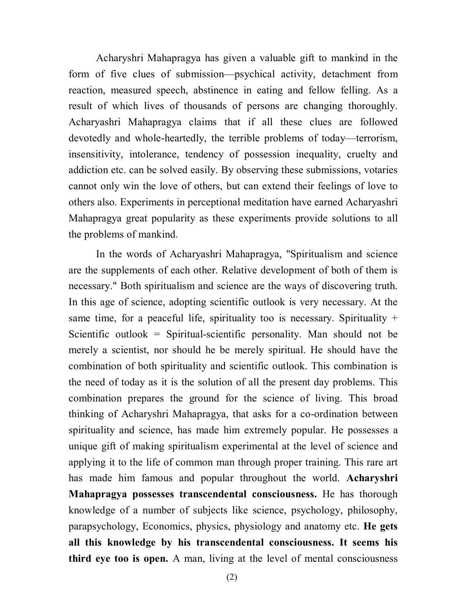Acharyshri Mahapragya has given a valuable gift to mankind in the form of five clues of submission—psychical activity, detachment from reaction, measured speech, abstinence in eating and fellow felling. As a result of which lives of thousands of persons are changing thoroughly. Acharyashri Mahapragya claims that if all these clues are followed devotedly and whole-heartedly, the terrible problems of today—terrorism, insensitivity, intolerance, tendency of possession inequality, cruelty and addiction etc. can be solved easily. By observing these submissions, votaries cannot only win the love of others, but can extend their feelings of love to others also. Experiments in perceptional meditation have earned Acharyashri Mahapragya great popularity as these experiments provide solutions to all the problems of mankind.

In the words of Acharyashri Mahapragya, "Spiritualism and science are the supplements of each other. Relative development of both of them is necessary." Both spiritualism and science are the ways of discovering truth. In this age of science, adopting scientific outlook is very necessary. At the same time, for a peaceful life, spirituality too is necessary. Spirituality  $+$ Scientific outlook = Spiritual-scientific personality. Man should not be merely a scientist, nor should he be merely spiritual. He should have the combination of both spirituality and scientific outlook. This combination is the need of today as it is the solution of all the present day problems. This combination prepares the ground for the science of living. This broad thinking of Acharyshri Mahapragya, that asks for a co-ordination between spirituality and science, has made him extremely popular. He possesses a unique gift of making spiritualism experimental at the level of science and applying it to the life of common man through proper training. This rare art has made him famous and popular throughout the world. **Acharyshri Mahapragya possesses transcendental consciousness.** He has thorough knowledge of a number of subjects like science, psychology, philosophy, parapsychology, Economics, physics, physiology and anatomy etc. **He gets all this knowledge by his transcendental consciousness. It seems his third eye too is open.** A man, living at the level of mental consciousness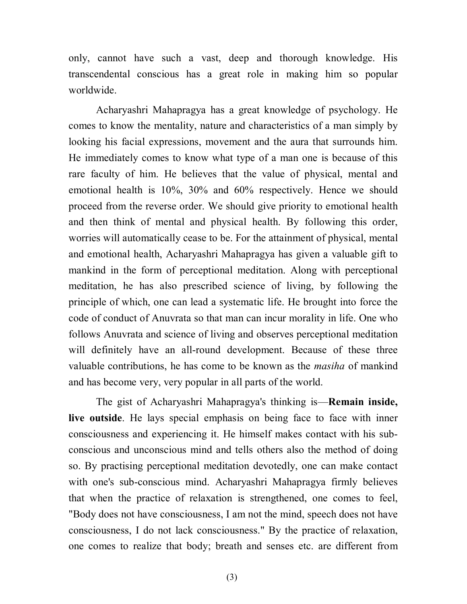only, cannot have such a vast, deep and thorough knowledge. His transcendental conscious has a great role in making him so popular worldwide.

Acharyashri Mahapragya has a great knowledge of psychology. He comes to know the mentality, nature and characteristics of a man simply by looking his facial expressions, movement and the aura that surrounds him. He immediately comes to know what type of a man one is because of this rare faculty of him. He believes that the value of physical, mental and emotional health is 10%, 30% and 60% respectively. Hence we should proceed from the reverse order. We should give priority to emotional health and then think of mental and physical health. By following this order, worries will automatically cease to be. For the attainment of physical, mental and emotional health, Acharyashri Mahapragya has given a valuable gift to mankind in the form of perceptional meditation. Along with perceptional meditation, he has also prescribed science of living, by following the principle of which, one can lead a systematic life. He brought into force the code of conduct of Anuvrata so that man can incur morality in life. One who follows Anuvrata and science of living and observes perceptional meditation will definitely have an all-round development. Because of these three valuable contributions, he has come to be known as the *masiha* of mankind and has become very, very popular in all parts of the world.

The gist of Acharyashri Mahapragya's thinking is—**Remain inside, live outside**. He lays special emphasis on being face to face with inner consciousness and experiencing it. He himself makes contact with his subconscious and unconscious mind and tells others also the method of doing so. By practising perceptional meditation devotedly, one can make contact with one's sub-conscious mind. Acharyashri Mahapragya firmly believes that when the practice of relaxation is strengthened, one comes to feel, "Body does not have consciousness, I am not the mind, speech does not have consciousness, I do not lack consciousness." By the practice of relaxation, one comes to realize that body; breath and senses etc. are different from